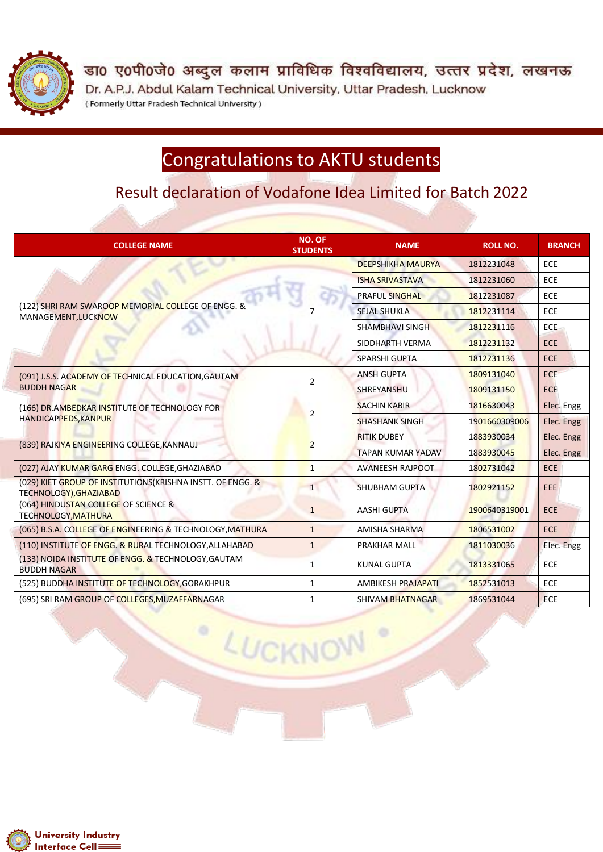

डा0 ए0पी0जे0 अब्दुल कलाम प्राविधिक विश्वविद्यालय, उत्तर प्रदेश, लखनऊ Dr. A.P.J. Abdul Kalam Technical University, Uttar Pradesh, Lucknow (Formerly Uttar Pradesh Technical University)

## Congratulations to AKTU students

Result declaration of Vodafone Idea Limited for Batch 2022

| <b>COLLEGE NAME</b>                                                                   | <b>NO. OF</b><br><b>STUDENTS</b> | <b>NAME</b>               | <b>ROLL NO.</b> | <b>BRANCH</b> |
|---------------------------------------------------------------------------------------|----------------------------------|---------------------------|-----------------|---------------|
| (122) SHRI RAM SWAROOP MEMORIAL COLLEGE OF ENGG. &<br>MANAGEMENT, LUCKNOW             |                                  | <b>DEEPSHIKHA MAURYA</b>  | 1812231048      | <b>ECE</b>    |
|                                                                                       |                                  | <b>ISHA SRIVASTAVA</b>    | 1812231060      | ECE           |
|                                                                                       |                                  | <b>PRAFUL SINGHAL</b>     | 1812231087      | <b>ECE</b>    |
|                                                                                       |                                  | <b>SEJAL SHUKLA</b>       | 1812231114      | ECE           |
|                                                                                       |                                  | <b>SHAMBHAVI SINGH</b>    | 1812231116      | <b>ECE</b>    |
|                                                                                       |                                  | SIDDHARTH VERMA           | 1812231132      | <b>ECE</b>    |
|                                                                                       |                                  | <b>SPARSHI GUPTA</b>      | 1812231136      | <b>ECE</b>    |
| (091) J.S.S. ACADEMY OF TECHNICAL EDUCATION, GAUTAM<br><b>BUDDH NAGAR</b>             | 2                                | <b>ANSH GUPTA</b>         | 1809131040      | <b>ECE</b>    |
|                                                                                       |                                  | <b>SHREYANSHU</b>         | 1809131150      | <b>ECE</b>    |
| (166) DR.AMBEDKAR INSTITUTE OF TECHNOLOGY FOR<br>HANDICAPPEDS, KANPUR                 | $\overline{2}$                   | <b>SACHIN KABIR</b>       | 1816630043      | Elec. Engg    |
|                                                                                       |                                  | <b>SHASHANK SINGH</b>     | 1901660309006   | Elec. Engg    |
| (839) RAJKIYA ENGINEERING COLLEGE, KANNAUJ                                            | $\overline{2}$                   | <b>RITIK DUBEY</b>        | 1883930034      | Elec. Engg    |
|                                                                                       |                                  | <b>TAPAN KUMAR YADAV</b>  | 1883930045      | Elec. Engg    |
| (027) AJAY KUMAR GARG ENGG. COLLEGE, GHAZIABAD                                        | $\mathbf{1}$                     | <b>AVANEESH RAJPOOT</b>   | 1802731042      | <b>ECE</b>    |
| (029) KIET GROUP OF INSTITUTIONS (KRISHNA INSTT. OF ENGG. &<br>TECHNOLOGY), GHAZIABAD | $\mathbf{1}$                     | <b>SHUBHAM GUPTA</b>      | 1802921152      | <b>EEE</b>    |
| (064) HINDUSTAN COLLEGE OF SCIENCE &<br><b>TECHNOLOGY, MATHURA</b>                    | $\mathbf{1}$                     | <b>AASHI GUPTA</b>        | 1900640319001   | <b>ECE</b>    |
| (065) B.S.A. COLLEGE OF ENGINEERING & TECHNOLOGY, MATHURA                             | $\mathbf{1}$                     | <b>AMISHA SHARMA</b>      | 1806531002      | <b>ECE</b>    |
| (110) INSTITUTE OF ENGG. & RURAL TECHNOLOGY, ALLAHABAD                                | $\mathbf{1}$                     | PRAKHAR MALL              | 1811030036      | Elec. Engg    |
| (133) NOIDA INSTITUTE OF ENGG. & TECHNOLOGY, GAUTAM<br><b>BUDDH NAGAR</b>             | 1                                | <b>KUNAL GUPTA</b>        | 1813331065      | <b>ECE</b>    |
| (525) BUDDHA INSTITUTE OF TECHNOLOGY, GORAKHPUR                                       | $\mathbf{1}$                     | <b>AMBIKESH PRAJAPATI</b> | 1852531013      | <b>ECE</b>    |
| (695) SRI RAM GROUP OF COLLEGES, MUZAFFARNAGAR                                        | $\mathbf{1}$                     | <b>SHIVAM BHATNAGAR</b>   | 1869531044      | <b>ECE</b>    |

LUCKNOW

۰